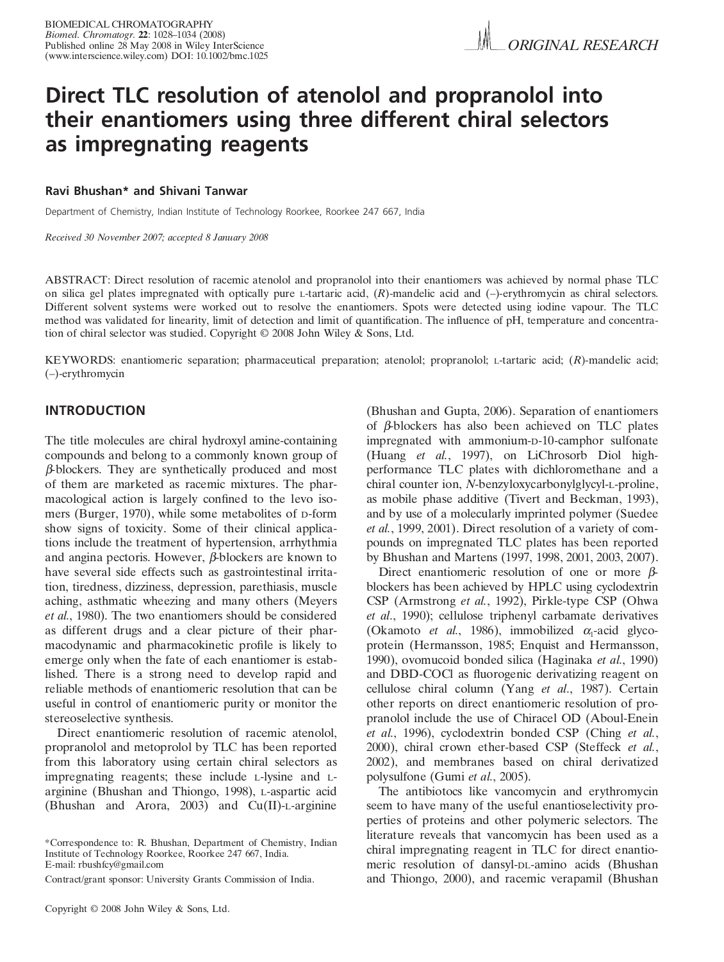# **Direct TLC resolution of atenolol and propranolol into their enantiomers using three different chiral selectors as impregnating reagents**

#### **Ravi Bhushan\* and Shivani Tanwar**

Department of Chemistry, Indian Institute of Technology Roorkee, Roorkee 247 667, India

*Received 30 November 2007; accepted 8 January 2008*

ABSTRACT: Direct resolution of racemic atenolol and propranolol into their enantiomers was achieved by normal phase TLC on silica gel plates impregnated with optically pure L-tartaric acid, (*R*)-mandelic acid and (–)-erythromycin as chiral selectors. Different solvent systems were worked out to resolve the enantiomers. Spots were detected using iodine vapour. The TLC method was validated for linearity, limit of detection and limit of quantification. The influence of pH, temperature and concentration of chiral selector was studied. Copyright © 2008 John Wiley & Sons, Ltd.

KEYWORDS: enantiomeric separation; pharmaceutical preparation; atenolol; propranolol; L-tartaric acid; (*R*)-mandelic acid; (–)-erythromycin

## **INTRODUCTION**

The title molecules are chiral hydroxyl amine-containing compounds and belong to a commonly known group of β-blockers. They are synthetically produced and most of them are marketed as racemic mixtures. The pharmacological action is largely confined to the levo isomers (Burger, 1970), while some metabolites of D-form show signs of toxicity. Some of their clinical applications include the treatment of hypertension, arrhythmia and angina pectoris. However, β-blockers are known to have several side effects such as gastrointestinal irritation, tiredness, dizziness, depression, parethiasis, muscle aching, asthmatic wheezing and many others (Meyers *et al.*, 1980). The two enantiomers should be considered as different drugs and a clear picture of their pharmacodynamic and pharmacokinetic profile is likely to emerge only when the fate of each enantiomer is established. There is a strong need to develop rapid and reliable methods of enantiomeric resolution that can be useful in control of enantiomeric purity or monitor the stereoselective synthesis.

Direct enantiomeric resolution of racemic atenolol, propranolol and metoprolol by TLC has been reported from this laboratory using certain chiral selectors as impregnating reagents; these include L-lysine and Larginine (Bhushan and Thiongo, 1998), L-aspartic acid (Bhushan and Arora, 2003) and Cu(II)-L-arginine (Bhushan and Gupta, 2006). Separation of enantiomers of β-blockers has also been achieved on TLC plates impregnated with ammonium-D-10-camphor sulfonate (Huang *et al.*, 1997), on LiChrosorb Diol highperformance TLC plates with dichloromethane and a chiral counter ion, *N*-benzyloxycarbonylglycyl-L-proline, as mobile phase additive (Tivert and Beckman, 1993), and by use of a molecularly imprinted polymer (Suedee *et al.*, 1999, 2001). Direct resolution of a variety of compounds on impregnated TLC plates has been reported by Bhushan and Martens (1997, 1998, 2001, 2003, 2007).

Direct enantiomeric resolution of one or more  $\beta$ blockers has been achieved by HPLC using cyclodextrin CSP (Armstrong *et al.*, 1992), Pirkle-type CSP (Ohwa *et al.*, 1990); cellulose triphenyl carbamate derivatives (Okamoto *et al.*, 1986), immobilized  $\alpha_1$ -acid glycoprotein (Hermansson, 1985; Enquist and Hermansson, 1990), ovomucoid bonded silica (Haginaka *et al.*, 1990) and DBD-COCl as fluorogenic derivatizing reagent on cellulose chiral column (Yang *et al.*, 1987). Certain other reports on direct enantiomeric resolution of propranolol include the use of Chiracel OD (Aboul-Enein *et al.*, 1996), cyclodextrin bonded CSP (Ching *et al.*, 2000), chiral crown ether-based CSP (Steffeck *et al.*, 2002), and membranes based on chiral derivatized polysulfone (Gumi *et al.*, 2005).

The antibiotocs like vancomycin and erythromycin seem to have many of the useful enantioselectivity properties of proteins and other polymeric selectors. The literature reveals that vancomycin has been used as a chiral impregnating reagent in TLC for direct enantiomeric resolution of dansyl-DL-amino acids (Bhushan and Thiongo, 2000), and racemic verapamil (Bhushan

<sup>\*</sup>Correspondence to: R. Bhushan, Department of Chemistry, Indian Institute of Technology Roorkee, Roorkee 247 667, India. E-mail: rbushfcy@gmail.com

Contract/grant sponsor: University Grants Commission of India.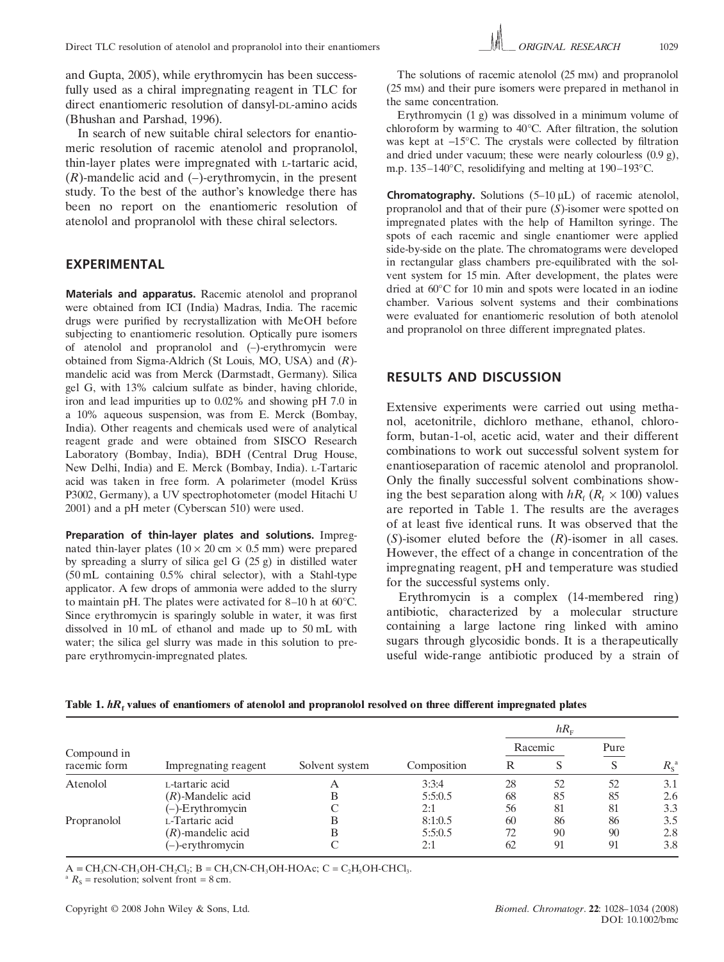and Gupta, 2005), while erythromycin has been successfully used as a chiral impregnating reagent in TLC for direct enantiomeric resolution of dansyl-DL-amino acids (Bhushan and Parshad, 1996).

In search of new suitable chiral selectors for enantiomeric resolution of racemic atenolol and propranolol, thin-layer plates were impregnated with L-tartaric acid,  $(R)$ -mandelic acid and  $(-)$ -erythromycin, in the present study. To the best of the author's knowledge there has been no report on the enantiomeric resolution of atenolol and propranolol with these chiral selectors.

## **EXPERIMENTAL**

**Materials and apparatus.** Racemic atenolol and propranol were obtained from ICI (India) Madras, India. The racemic drugs were purified by recrystallization with MeOH before subjecting to enantiomeric resolution. Optically pure isomers of atenolol and propranolol and (–)-erythromycin were obtained from Sigma-Aldrich (St Louis, MO, USA) and (*R*) mandelic acid was from Merck (Darmstadt, Germany). Silica gel G, with 13% calcium sulfate as binder, having chloride, iron and lead impurities up to 0.02% and showing pH 7.0 in a 10% aqueous suspension, was from E. Merck (Bombay, India). Other reagents and chemicals used were of analytical reagent grade and were obtained from SISCO Research Laboratory (Bombay, India), BDH (Central Drug House, New Delhi, India) and E. Merck (Bombay, India). L-Tartaric acid was taken in free form. A polarimeter (model Krüss P3002, Germany), a UV spectrophotometer (model Hitachi U 2001) and a pH meter (Cyberscan 510) were used.

**Preparation of thin-layer plates and solutions.** Impregnated thin-layer plates  $(10 \times 20 \text{ cm} \times 0.5 \text{ mm})$  were prepared by spreading a slurry of silica gel G (25 g) in distilled water (50 mL containing 0.5% chiral selector), with a Stahl-type applicator. A few drops of ammonia were added to the slurry to maintain pH. The plates were activated for 8–10 h at 60°C. Since erythromycin is sparingly soluble in water, it was first dissolved in 10 mL of ethanol and made up to 50 mL with water; the silica gel slurry was made in this solution to prepare erythromycin-impregnated plates.

The solutions of racemic atenolol (25 mm) and propranolol (25 mM) and their pure isomers were prepared in methanol in the same concentration.

Erythromycin (1 g) was dissolved in a minimum volume of chloroform by warming to 40°C. After filtration, the solution was kept at −15°C. The crystals were collected by filtration and dried under vacuum; these were nearly colourless (0.9 g), m.p. 135–140°C, resolidifying and melting at 190–193°C.

**Chromatography.** Solutions (5–10 μL) of racemic atenolol, propranolol and that of their pure (*S*)-isomer were spotted on impregnated plates with the help of Hamilton syringe. The spots of each racemic and single enantiomer were applied side-by-side on the plate. The chromatograms were developed in rectangular glass chambers pre-equilibrated with the solvent system for 15 min. After development, the plates were dried at 60°C for 10 min and spots were located in an iodine chamber. Various solvent systems and their combinations were evaluated for enantiomeric resolution of both atenolol and propranolol on three different impregnated plates.

## **RESULTS AND DISCUSSION**

Extensive experiments were carried out using methanol, acetonitrile, dichloro methane, ethanol, chloroform, butan-1-ol, acetic acid, water and their different combinations to work out successful solvent system for enantioseparation of racemic atenolol and propranolol. Only the finally successful solvent combinations showing the best separation along with  $hR_f (R_f \times 100)$  values are reported in Table 1. The results are the averages of at least five identical runs. It was observed that the (*S*)-isomer eluted before the (*R*)-isomer in all cases. However, the effect of a change in concentration of the impregnating reagent, pH and temperature was studied for the successful systems only.

Erythromycin is a complex (14-membered ring) antibiotic, characterized by a molecular structure containing a large lactone ring linked with amino sugars through glycosidic bonds. It is a therapeutically useful wide-range antibiotic produced by a strain of

| Compound in<br>racemic form |                      | Solvent system |             |         |    |      |                     |
|-----------------------------|----------------------|----------------|-------------|---------|----|------|---------------------|
|                             | Impregnating reagent |                |             | Racemic |    | Pure |                     |
|                             |                      |                | Composition | R       |    |      | $R_{\rm S}^{\rm a}$ |
| Atenolol                    | L-tartaric acid      | A              | 3:3:4       | 28      | 52 | 52   | 3.1                 |
|                             | $(R)$ -Mandelic acid | В              | 5:5:0.5     | 68      | 85 | 85   | 2.6                 |
|                             | (–)-Erythromycin     |                | 2:1         | 56      | 81 | 81   | 3.3                 |
| Propranolol                 | L-Tartaric acid      |                | 8:1:0.5     | 60      | 86 | 86   | 3.5                 |
|                             | $(R)$ -mandelic acid | В              | 5:5:0.5     | 72      | 90 | 90   | 2.8                 |
|                             | (–)-erythromycin     |                | 2:1         | 62      | 91 | 91   | 3.8                 |

**Table 1.** *hR***<sup>f</sup> values of enantiomers of atenolol and propranolol resolved on three different impregnated plates**

 $A = CH_3CN-CH_3OH-CH_2Cl_2$ ;  $B = CH_3CN-CH_3OH-HOAc$ ;  $C = C_2H_5OH-CHCl_3$ .  $R_S =$  resolution; solvent front = 8 cm.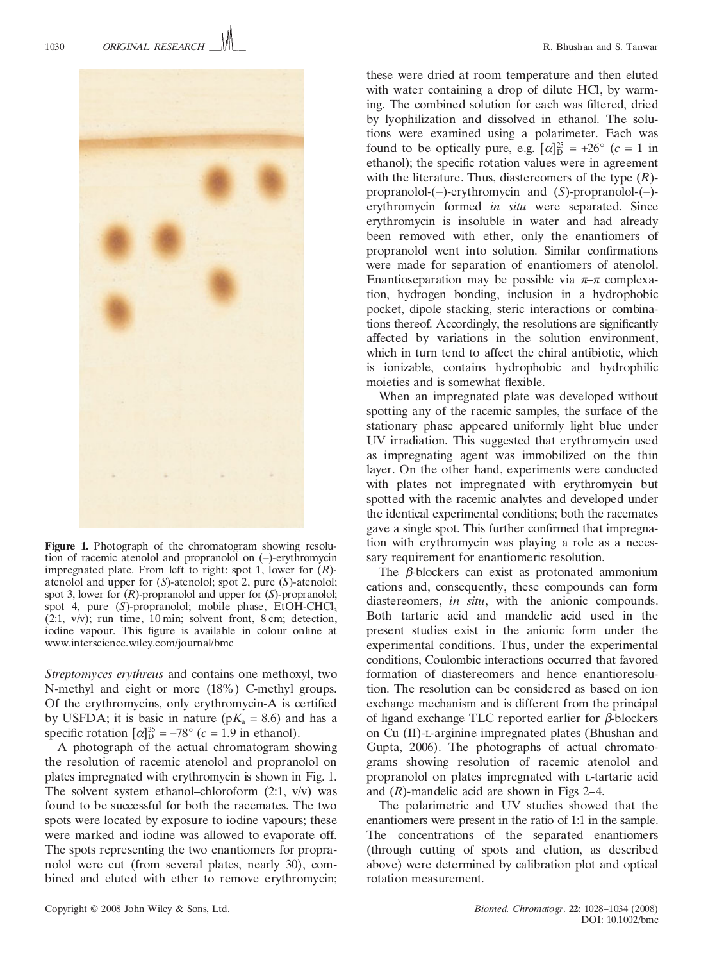

Figure 1. Photograph of the chromatogram showing resolution of racemic atenolol and propranolol on (–)-erythromycin impregnated plate. From left to right: spot 1, lower for (*R*) atenolol and upper for (*S*)-atenolol; spot 2, pure (*S*)-atenolol; spot 3, lower for (*R*)-propranolol and upper for (*S*)-propranolol; spot 4, pure (S)-propranolol; mobile phase, EtOH-CHCl<sub>3</sub>  $(2:1, v/v)$ ; run time, 10 min; solvent front, 8 cm; detection, iodine vapour. This figure is available in colour online at <www.interscience.wiley.com/journal/bmc>

*Streptomyces erythreus* and contains one methoxyl, two N-methyl and eight or more (18%) C-methyl groups. Of the erythromycins, only erythromycin-A is certified by USFDA; it is basic in nature ( $pK_a = 8.6$ ) and has a specific rotation  $[\alpha]_D^{25} = -78^\circ$  (*c* = 1.9 in ethanol).

A photograph of the actual chromatogram showing the resolution of racemic atenolol and propranolol on plates impregnated with erythromycin is shown in Fig. 1. The solvent system ethanol–chloroform  $(2:1, v/v)$  was found to be successful for both the racemates. The two spots were located by exposure to iodine vapours; these were marked and iodine was allowed to evaporate off. The spots representing the two enantiomers for propranolol were cut (from several plates, nearly 30), combined and eluted with ether to remove erythromycin; these were dried at room temperature and then eluted with water containing a drop of dilute HCl, by warming. The combined solution for each was filtered, dried by lyophilization and dissolved in ethanol. The solutions were examined using a polarimeter. Each was found to be optically pure, e.g.  $[\alpha]_D^{25} = +26^{\circ}$  (*c* = 1 in ethanol); the specific rotation values were in agreement with the literature. Thus, diastereomers of the type (*R*) propranolol-(−)-erythromycin and (*S*)-propranolol-(−) erythromycin formed *in situ* were separated. Since erythromycin is insoluble in water and had already been removed with ether, only the enantiomers of propranolol went into solution. Similar confirmations were made for separation of enantiomers of atenolol. Enantioseparation may be possible via π*–*π complexation, hydrogen bonding, inclusion in a hydrophobic pocket, dipole stacking, steric interactions or combinations thereof. Accordingly, the resolutions are significantly affected by variations in the solution environment, which in turn tend to affect the chiral antibiotic, which is ionizable, contains hydrophobic and hydrophilic moieties and is somewhat flexible.

When an impregnated plate was developed without spotting any of the racemic samples, the surface of the stationary phase appeared uniformly light blue under UV irradiation. This suggested that erythromycin used as impregnating agent was immobilized on the thin layer. On the other hand, experiments were conducted with plates not impregnated with erythromycin but spotted with the racemic analytes and developed under the identical experimental conditions; both the racemates gave a single spot. This further confirmed that impregnation with erythromycin was playing a role as a necessary requirement for enantiomeric resolution.

The β-blockers can exist as protonated ammonium cations and, consequently, these compounds can form diastereomers, *in situ*, with the anionic compounds. Both tartaric acid and mandelic acid used in the present studies exist in the anionic form under the experimental conditions. Thus, under the experimental conditions, Coulombic interactions occurred that favored formation of diastereomers and hence enantioresolution. The resolution can be considered as based on ion exchange mechanism and is different from the principal of ligand exchange TLC reported earlier for β-blockers on Cu (II)-L-arginine impregnated plates (Bhushan and Gupta, 2006). The photographs of actual chromatograms showing resolution of racemic atenolol and propranolol on plates impregnated with L-tartaric acid and (*R*)-mandelic acid are shown in Figs 2–4.

The polarimetric and UV studies showed that the enantiomers were present in the ratio of 1:1 in the sample. The concentrations of the separated enantiomers (through cutting of spots and elution, as described above) were determined by calibration plot and optical rotation measurement.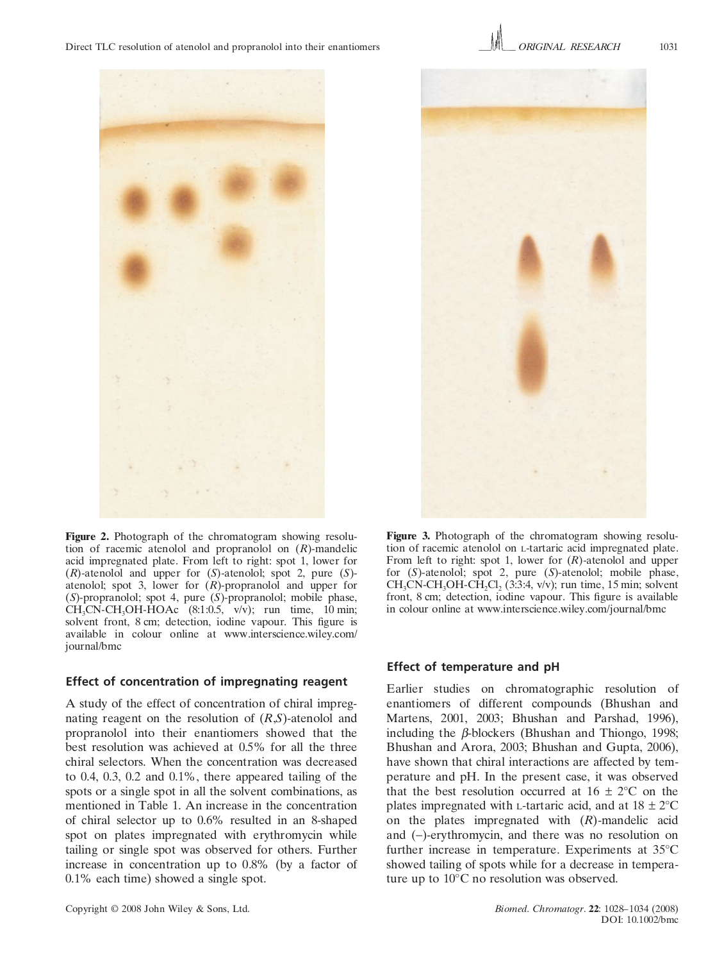**Figure 2.** Photograph of the chromatogram showing resolution of racemic atenolol and propranolol on (*R*)-mandelic acid impregnated plate. From left to right: spot 1, lower for (*R*)-atenolol and upper for (*S*)-atenolol; spot 2, pure (*S*) atenolol; spot 3, lower for (*R*)-propranolol and upper for (*S*)-propranolol; spot 4, pure (*S*)-propranolol; mobile phase,  $CH<sub>3</sub>CN-CH<sub>3</sub>OH-HOAc (8:1:0.5, v/v); run time, 10 min;$ solvent front, 8 cm; detection, iodine vapour. This figure is [available in colour online at www.interscience.wiley.com/](www.interscience.wiley.com/journal/bmc) journal/bmc

#### **Effect of concentration of impregnating reagent**

A study of the effect of concentration of chiral impregnating reagent on the resolution of (*R*,*S*)-atenolol and propranolol into their enantiomers showed that the best resolution was achieved at 0.5% for all the three chiral selectors. When the concentration was decreased to 0.4, 0.3, 0.2 and 0.1%, there appeared tailing of the spots or a single spot in all the solvent combinations, as mentioned in Table 1. An increase in the concentration of chiral selector up to 0.6% resulted in an 8-shaped spot on plates impregnated with erythromycin while tailing or single spot was observed for others. Further increase in concentration up to 0.8% (by a factor of 0.1% each time) showed a single spot.

**Figure 3.** Photograph of the chromatogram showing resolution of racemic atenolol on L-tartaric acid impregnated plate. From left to right: spot 1, lower for (*R*)-atenolol and upper for (*S*)-atenolol; spot 2, pure (*S*)-atenolol; mobile phase,  $CH<sub>3</sub>CN-CH<sub>3</sub>OH-CH<sub>2</sub>Cl<sub>2</sub>$  (3:3:4, v/v); run time, 15 min; solvent front, 8 cm; detection, iodine vapour. This figure is available in colour online at<www.interscience.wiley.com/journal/bmc>

## **Effect of temperature and pH**

Earlier studies on chromatographic resolution of enantiomers of different compounds (Bhushan and Martens, 2001, 2003; Bhushan and Parshad, 1996), including the β-blockers (Bhushan and Thiongo, 1998; Bhushan and Arora, 2003; Bhushan and Gupta, 2006), have shown that chiral interactions are affected by temperature and pH. In the present case, it was observed that the best resolution occurred at  $16 \pm 2$ °C on the plates impregnated with L-tartaric acid, and at  $18 \pm 2$ °C on the plates impregnated with (*R*)-mandelic acid and (−)-erythromycin, and there was no resolution on further increase in temperature. Experiments at 35°C showed tailing of spots while for a decrease in temperature up to 10°C no resolution was observed.



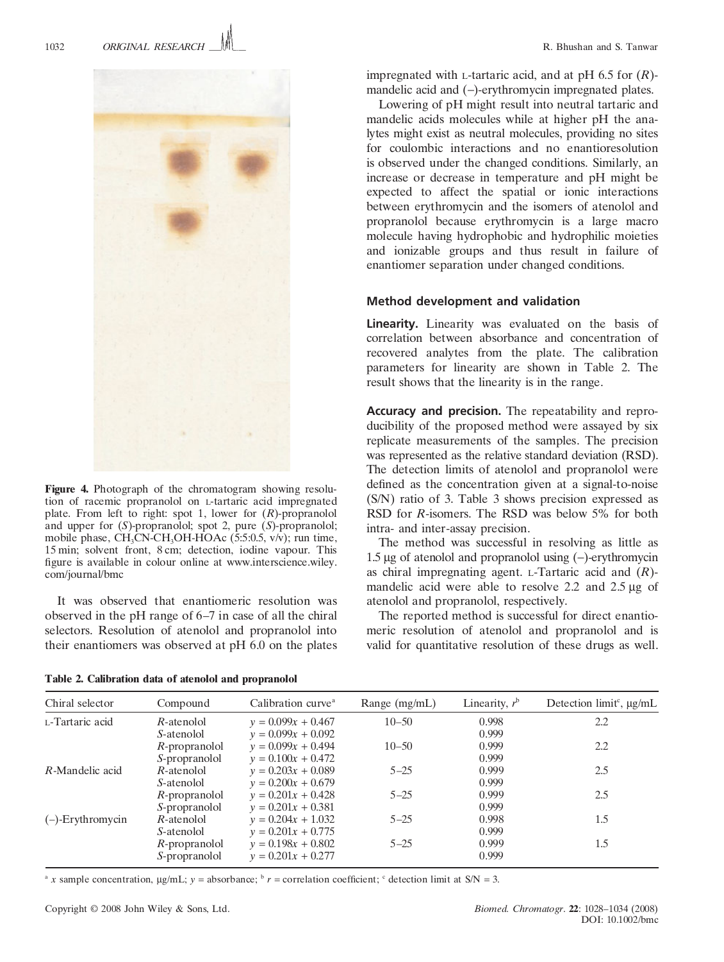

**Figure 4.** Photograph of the chromatogram showing resolution of racemic propranolol on L-tartaric acid impregnated plate. From left to right: spot 1, lower for (*R*)-propranolol and upper for (*S*)-propranolol; spot 2, pure (*S*)-propranolol; mobile phase,  $CH_3CN-CH_3OH-HOAc$  (5:5:0.5, v/v); run time, 15 min; solvent front, 8 cm; detection, iodine vapour. This [figure is available in colour online at www.interscience.wiley.](www.interscience.wiley.com/journal/bmc) com/journal/bmc

It was observed that enantiomeric resolution was observed in the pH range of 6–7 in case of all the chiral selectors. Resolution of atenolol and propranolol into their enantiomers was observed at pH 6.0 on the plates impregnated with L-tartaric acid, and at pH 6.5 for (*R*) mandelic acid and (−)-erythromycin impregnated plates.

Lowering of pH might result into neutral tartaric and mandelic acids molecules while at higher pH the analytes might exist as neutral molecules, providing no sites for coulombic interactions and no enantioresolution is observed under the changed conditions. Similarly, an increase or decrease in temperature and pH might be expected to affect the spatial or ionic interactions between erythromycin and the isomers of atenolol and propranolol because erythromycin is a large macro molecule having hydrophobic and hydrophilic moieties and ionizable groups and thus result in failure of enantiomer separation under changed conditions.

#### **Method development and validation**

**Linearity.** Linearity was evaluated on the basis of correlation between absorbance and concentration of recovered analytes from the plate. The calibration parameters for linearity are shown in Table 2. The result shows that the linearity is in the range.

**Accuracy and precision.** The repeatability and reproducibility of the proposed method were assayed by six replicate measurements of the samples. The precision was represented as the relative standard deviation (RSD). The detection limits of atenolol and propranolol were defined as the concentration given at a signal-to-noise (S/N) ratio of 3. Table 3 shows precision expressed as RSD for *R*-isomers. The RSD was below 5% for both intra- and inter-assay precision.

The method was successful in resolving as little as 1.5 μg of atenolol and propranolol using (−)-erythromycin as chiral impregnating agent. L-Tartaric acid and (*R*) mandelic acid were able to resolve 2.2 and 2.5 μg of atenolol and propranolol, respectively.

The reported method is successful for direct enantiomeric resolution of atenolol and propranolol and is valid for quantitative resolution of these drugs as well.

| Chiral selector     | Compound      | Calibration curve <sup>a</sup> | Range $(mg/mL)$ | Linearity, $r^b$ | Detection $limit^c$ , $\mu$ g/mL |
|---------------------|---------------|--------------------------------|-----------------|------------------|----------------------------------|
| L-Tartaric acid     | R-atenolol    | $v = 0.099x + 0.467$           | $10 - 50$       | 0.998            | 2.2                              |
|                     | S-atenolol    | $v = 0.099x + 0.092$           |                 | 0.999            |                                  |
|                     | R-propranolol | $v = 0.099x + 0.494$           | $10 - 50$       | 0.999            | 2.2                              |
|                     | S-propranolol | $v = 0.100x + 0.472$           |                 | 0.999            |                                  |
| R-Mandelic acid     | R-atenolol    | $v = 0.203x + 0.089$           | $5 - 25$        | 0.999            | 2.5                              |
|                     | S-atenolol    | $v = 0.200x + 0.679$           |                 | 0.999            |                                  |
|                     | R-propranolol | $v = 0.201x + 0.428$           | $5 - 25$        | 0.999            | 2.5                              |
|                     | S-propranolol | $v = 0.201x + 0.381$           |                 | 0.999            |                                  |
| $(-)$ -Erythromycin | R-atenolol    | $v = 0.204x + 1.032$           | $5 - 25$        | 0.998            | 1.5                              |
|                     | S-atenolol    | $v = 0.201x + 0.775$           |                 | 0.999            |                                  |
|                     | R-propranolol | $v = 0.198x + 0.802$           | $5 - 25$        | 0.999            | 1.5                              |
|                     | S-propranolol | $y = 0.201x + 0.277$           |                 | 0.999            |                                  |

**Table 2. Calibration data of atenolol and propranolol**

<sup>a</sup> *x* sample concentration,  $\mu g/mL$ ;  $y = absorbance$ ;  $^b r = correlation coefficient$ ;  $^c$  detection limit at S/N = 3.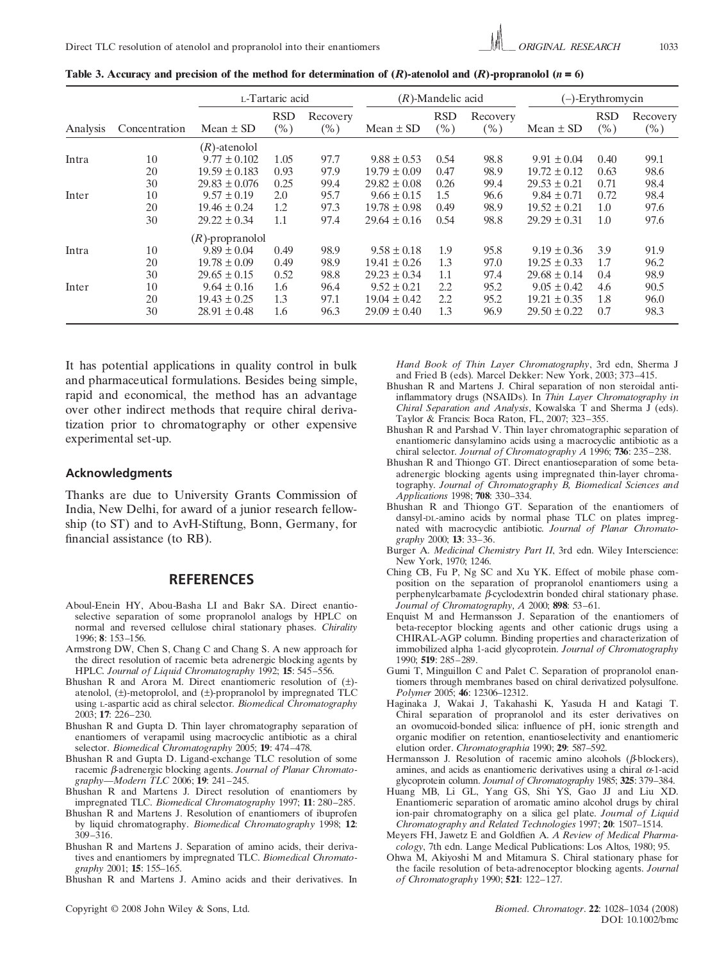|          |               | L-Tartaric acid    |                      | (R)-Mandelic acid  |                  |                   | (–)-Erythromycin   |                  |                   |                    |
|----------|---------------|--------------------|----------------------|--------------------|------------------|-------------------|--------------------|------------------|-------------------|--------------------|
| Analysis | Concentration | Mean $\pm$ SD      | <b>RSD</b><br>$(\%)$ | Recovery<br>$(\%)$ | Mean $\pm$ SD    | <b>RSD</b><br>(%) | Recovery<br>$(\%)$ | Mean $\pm$ SD    | <b>RSD</b><br>(%) | Recovery<br>$(\%)$ |
|          |               | $(R)$ -atenolol    |                      |                    |                  |                   |                    |                  |                   |                    |
| Intra    | 10            | $9.77 \pm 0.102$   | 1.05                 | 97.7               | $9.88 \pm 0.53$  | 0.54              | 98.8               | $9.91 \pm 0.04$  | 0.40              | 99.1               |
|          | 20            | $19.59 \pm 0.183$  | 0.93                 | 97.9               | $19.79 \pm 0.09$ | 0.47              | 98.9               | $19.72 \pm 0.12$ | 0.63              | 98.6               |
|          | 30            | $29.83 \pm 0.076$  | 0.25                 | 99.4               | $29.82 \pm 0.08$ | 0.26              | 99.4               | $29.53 \pm 0.21$ | 0.71              | 98.4               |
| Inter    | 10            | $9.57 \pm 0.19$    | 2.0                  | 95.7               | $9.66 \pm 0.15$  | 1.5               | 96.6               | $9.84 \pm 0.71$  | 0.72              | 98.4               |
|          | 20            | $19.46 \pm 0.24$   | 1.2                  | 97.3               | $19.78 \pm 0.98$ | 0.49              | 98.9               | $19.52 \pm 0.21$ | 1.0               | 97.6               |
|          | 30            | $29.22 \pm 0.34$   | 1.1                  | 97.4               | $29.64 \pm 0.16$ | 0.54              | 98.8               | $29.29 \pm 0.31$ | 1.0               | 97.6               |
|          |               | $(R)$ -propranolol |                      |                    |                  |                   |                    |                  |                   |                    |
| Intra    | 10            | $9.89 \pm 0.04$    | 0.49                 | 98.9               | $9.58 \pm 0.18$  | 1.9               | 95.8               | $9.19 \pm 0.36$  | 3.9               | 91.9               |
|          | 20            | $19.78 \pm 0.09$   | 0.49                 | 98.9               | $19.41 \pm 0.26$ | 1.3               | 97.0               | $19.25 \pm 0.33$ | 1.7               | 96.2               |
|          | 30            | $29.65 \pm 0.15$   | 0.52                 | 98.8               | $29.23 \pm 0.34$ | 1.1               | 97.4               | $29.68 \pm 0.14$ | 0.4               | 98.9               |
| Inter    | 10            | $9.64 \pm 0.16$    | 1.6                  | 96.4               | $9.52 \pm 0.21$  | 2.2               | 95.2               | $9.05 \pm 0.42$  | 4.6               | 90.5               |
|          | 20            | $19.43 \pm 0.25$   | 1.3                  | 97.1               | $19.04 \pm 0.42$ | 2.2               | 95.2               | $19.21 \pm 0.35$ | 1.8               | 96.0               |
|          | 30            | $28.91 \pm 0.48$   | 1.6                  | 96.3               | $29.09 \pm 0.40$ | 1.3               | 96.9               | $29.50 \pm 0.22$ | 0.7               | 98.3               |

**Table 3. Accuracy and precision of the method for determination of**  $(R)$ **-atenolol and**  $(R)$ **-propranolol**  $(n = 6)$ 

It has potential applications in quality control in bulk and pharmaceutical formulations. Besides being simple, rapid and economical, the method has an advantage over other indirect methods that require chiral derivatization prior to chromatography or other expensive experimental set-up.

#### **Acknowledgments**

Thanks are due to University Grants Commission of India, New Delhi, for award of a junior research fellowship (to ST) and to AvH-Stiftung, Bonn, Germany, for financial assistance (to RB).

#### **REFERENCES**

- Aboul-Enein HY, Abou-Basha LI and Bakr SA. Direct enantioselective separation of some propranolol analogs by HPLC on normal and reversed cellulose chiral stationary phases. *Chirality* 1996; **8**: 153–156.
- Armstrong DW, Chen S, Chang C and Chang S. A new approach for the direct resolution of racemic beta adrenergic blocking agents by HPLC. *Journal of Liquid Chromatography* 1992; **15**: 545–556.
- Bhushan R and Arora M. Direct enantiomeric resolution of (±) atenolol, (±)-metoprolol, and (±)-propranolol by impregnated TLC using L-aspartic acid as chiral selector. *Biomedical Chromatography* 2003; **17**: 226–230.
- Bhushan R and Gupta D. Thin layer chromatography separation of enantiomers of verapamil using macrocyclic antibiotic as a chiral selector. *Biomedical Chromatography* 2005; **19**: 474–478.
- Bhushan R and Gupta D. Ligand-exchange TLC resolution of some racemic β-adrenergic blocking agents. *Journal of Planar Chromatography—Modern TLC* 2006; **19**: 241–245.
- Bhushan R and Martens J. Direct resolution of enantiomers by impregnated TLC. *Biomedical Chromatography* 1997; **11**: 280–285.
- Bhushan R and Martens J. Resolution of enantiomers of ibuprofen by liquid chromatography. *Biomedical Chromatography* 1998; **12**: 309–316.
- Bhushan R and Martens J. Separation of amino acids, their derivatives and enantiomers by impregnated TLC. *Biomedical Chromatography* 2001; **15**: 155–165.
- Bhushan R and Martens J. Amino acids and their derivatives. In

*Hand Book of Thin Layer Chromatography*, 3rd edn, Sherma J and Fried B (eds). Marcel Dekker: New York, 2003; 373–415.

- Bhushan R and Martens J. Chiral separation of non steroidal antiinflammatory drugs (NSAIDs). In *Thin Layer Chromatography in Chiral Separation and Analysis*, Kowalska T and Sherma J (eds). Taylor & Francis: Boca Raton, FL, 2007; 323–355.
- Bhushan R and Parshad V. Thin layer chromatographic separation of enantiomeric dansylamino acids using a macrocyclic antibiotic as a chiral selector. *Journal of Chromatography A* 1996; **736**: 235–238.
- Bhushan R and Thiongo GT. Direct enantioseparation of some betaadrenergic blocking agents using impregnated thin-layer chromatography. *Journal of Chromatography B, Biomedical Sciences and Applications* 1998; **708**: 330–334.
- Bhushan R and Thiongo GT. Separation of the enantiomers of dansyl-DL-amino acids by normal phase TLC on plates impregnated with macrocyclic antibiotic. *Journal of Planar Chromatography* 2000; **13**: 33–36.
- Burger A. *Medicinal Chemistry Part II*, 3rd edn. Wiley Interscience: New York, 1970; 1246.
- Ching CB, Fu P, Ng SC and Xu YK. Effect of mobile phase composition on the separation of propranolol enantiomers using a perphenylcarbamate β-cyclodextrin bonded chiral stationary phase. *Journal of Chromatography, A* 2000; **898**: 53–61.
- Enquist M and Hermansson J. Separation of the enantiomers of beta-receptor blocking agents and other cationic drugs using a CHIRAL-AGP column. Binding properties and characterization of immobilized alpha 1-acid glycoprotein. *Journal of Chromatography* 1990; **519**: 285–289.
- Gumi T, Minguillon C and Palet C. Separation of propranolol enantiomers through membranes based on chiral derivatized polysulfone. *Polymer* 2005; **46**: 12306–12312.
- Haginaka J, Wakai J, Takahashi K, Yasuda H and Katagi T. Chiral separation of propranolol and its ester derivatives on an ovomucoid-bonded silica: influence of pH, ionic strength and organic modifier on retention, enantioselectivity and enantiomeric elution order. *Chromatographia* 1990; **29**: 587–592.
- Hermansson J. Resolution of racemic amino alcohols (β-blockers), amines, and acids as enantiomeric derivatives using a chiral  $\alpha$ -1-acid glycoprotein column. *Journal of Chromatography* 1985; **325**: 379–384.
- Huang MB, Li GL, Yang GS, Shi YS, Gao JJ and Liu XD. Enantiomeric separation of aromatic amino alcohol drugs by chiral ion-pair chromatography on a silica gel plate. *Journal of Liquid Chromatography and Related Technologies* 1997; **20**: 1507–1514.
- Meyers FH, Jawetz E and Goldfien A. *A Review of Medical Pharmacology*, 7th edn. Lange Medical Publications: Los Altos, 1980; 95.
- Ohwa M, Akiyoshi M and Mitamura S. Chiral stationary phase for the facile resolution of beta-adrenoceptor blocking agents. *Journal of Chromatography* 1990; **521**: 122–127.